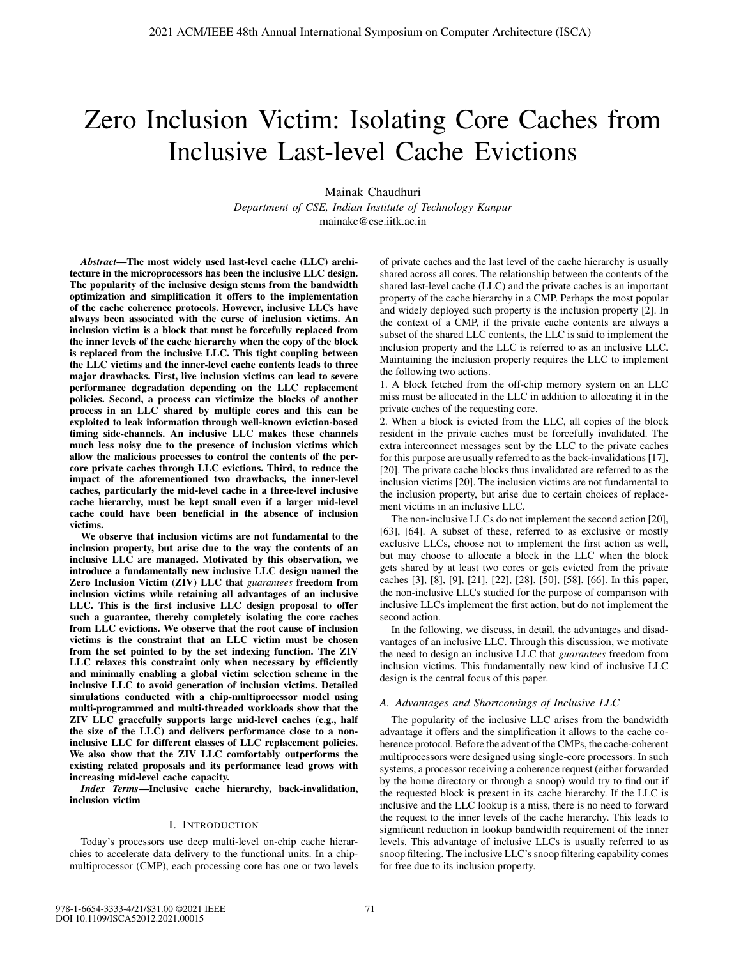# Zero Inclusion Victim: Isolating Core Caches from Inclusive Last-level Cache Evictions

Mainak Chaudhuri

*Department of CSE, Indian Institute of Technology Kanpur* mainakc@cse.iitk.ac.in

*Abstract*—The most widely used last-level cache (LLC) architecture in the microprocessors has been the inclusive LLC design. The popularity of the inclusive design stems from the bandwidth optimization and simplification it offers to the implementation of the cache coherence protocols. However, inclusive LLCs have always been associated with the curse of inclusion victims. An inclusion victim is a block that must be forcefully replaced from the inner levels of the cache hierarchy when the copy of the block is replaced from the inclusive LLC. This tight coupling between the LLC victims and the inner-level cache contents leads to three major drawbacks. First, live inclusion victims can lead to severe performance degradation depending on the LLC replacement policies. Second, a process can victimize the blocks of another process in an LLC shared by multiple cores and this can be exploited to leak information through well-known eviction-based timing side-channels. An inclusive LLC makes these channels much less noisy due to the presence of inclusion victims which allow the malicious processes to control the contents of the percore private caches through LLC evictions. Third, to reduce the impact of the aforementioned two drawbacks, the inner-level caches, particularly the mid-level cache in a three-level inclusive cache hierarchy, must be kept small even if a larger mid-level cache could have been beneficial in the absence of inclusion victims.

We observe that inclusion victims are not fundamental to the inclusion property, but arise due to the way the contents of an inclusive LLC are managed. Motivated by this observation, we introduce a fundamentally new inclusive LLC design named the Zero Inclusion Victim (ZIV) LLC that *guarantees* freedom from inclusion victims while retaining all advantages of an inclusive LLC. This is the first inclusive LLC design proposal to offer such a guarantee, thereby completely isolating the core caches from LLC evictions. We observe that the root cause of inclusion victims is the constraint that an LLC victim must be chosen from the set pointed to by the set indexing function. The ZIV LLC relaxes this constraint only when necessary by efficiently and minimally enabling a global victim selection scheme in the inclusive LLC to avoid generation of inclusion victims. Detailed simulations conducted with a chip-multiprocessor model using multi-programmed and multi-threaded workloads show that the ZIV LLC gracefully supports large mid-level caches (e.g., half the size of the LLC) and delivers performance close to a noninclusive LLC for different classes of LLC replacement policies. We also show that the ZIV LLC comfortably outperforms the existing related proposals and its performance lead grows with increasing mid-level cache capacity.

*Index Terms*—Inclusive cache hierarchy, back-invalidation, inclusion victim

# I. INTRODUCTION

Today's processors use deep multi-level on-chip cache hierarchies to accelerate data delivery to the functional units. In a chipmultiprocessor (CMP), each processing core has one or two levels of private caches and the last level of the cache hierarchy is usually shared across all cores. The relationship between the contents of the shared last-level cache (LLC) and the private caches is an important property of the cache hierarchy in a CMP. Perhaps the most popular and widely deployed such property is the inclusion property [2]. In the context of a CMP, if the private cache contents are always a subset of the shared LLC contents, the LLC is said to implement the inclusion property and the LLC is referred to as an inclusive LLC. Maintaining the inclusion property requires the LLC to implement the following two actions.

1. A block fetched from the off-chip memory system on an LLC miss must be allocated in the LLC in addition to allocating it in the private caches of the requesting core.

2. When a block is evicted from the LLC, all copies of the block resident in the private caches must be forcefully invalidated. The extra interconnect messages sent by the LLC to the private caches for this purpose are usually referred to as the back-invalidations [17], [20]. The private cache blocks thus invalidated are referred to as the inclusion victims [20]. The inclusion victims are not fundamental to the inclusion property, but arise due to certain choices of replacement victims in an inclusive LLC.

The non-inclusive LLCs do not implement the second action [20], [63], [64]. A subset of these, referred to as exclusive or mostly exclusive LLCs, choose not to implement the first action as well, but may choose to allocate a block in the LLC when the block gets shared by at least two cores or gets evicted from the private caches [3], [8], [9], [21], [22], [28], [50], [58], [66]. In this paper, the non-inclusive LLCs studied for the purpose of comparison with inclusive LLCs implement the first action, but do not implement the second action.

In the following, we discuss, in detail, the advantages and disadvantages of an inclusive LLC. Through this discussion, we motivate the need to design an inclusive LLC that *guarantees* freedom from inclusion victims. This fundamentally new kind of inclusive LLC design is the central focus of this paper.

## *A. Advantages and Shortcomings of Inclusive LLC*

The popularity of the inclusive LLC arises from the bandwidth advantage it offers and the simplification it allows to the cache coherence protocol. Before the advent of the CMPs, the cache-coherent multiprocessors were designed using single-core processors. In such systems, a processor receiving a coherence request (either forwarded by the home directory or through a snoop) would try to find out if the requested block is present in its cache hierarchy. If the LLC is inclusive and the LLC lookup is a miss, there is no need to forward the request to the inner levels of the cache hierarchy. This leads to significant reduction in lookup bandwidth requirement of the inner levels. This advantage of inclusive LLCs is usually referred to as snoop filtering. The inclusive LLC's snoop filtering capability comes for free due to its inclusion property.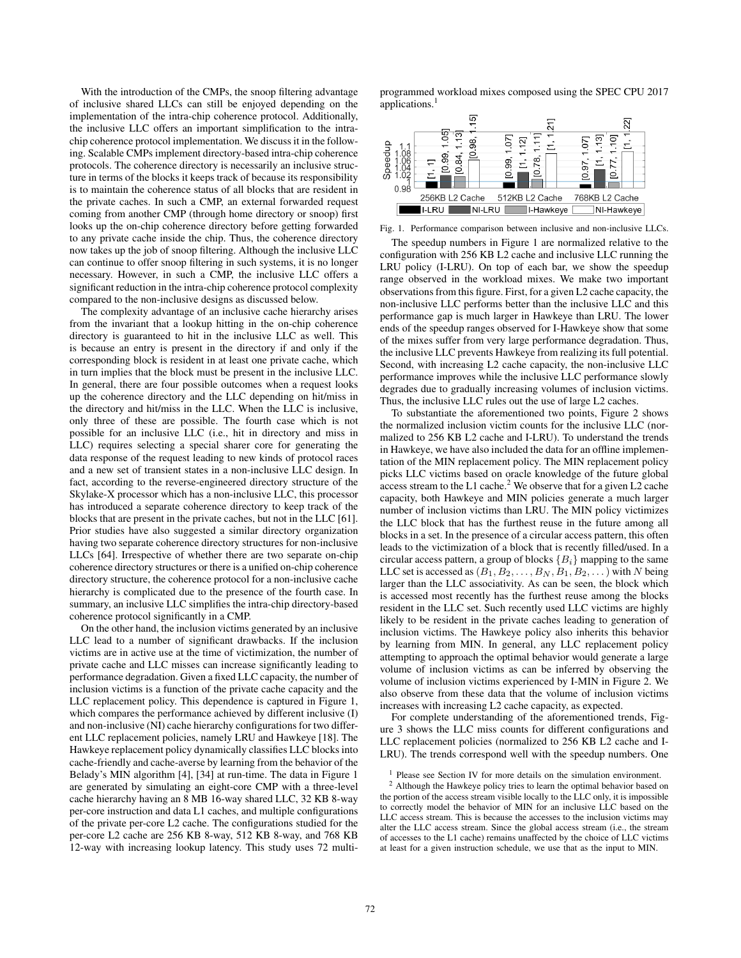With the introduction of the CMPs, the snoop filtering advantage of inclusive shared LLCs can still be enjoyed depending on the implementation of the intra-chip coherence protocol. Additionally, the inclusive LLC offers an important simplification to the intrachip coherence protocol implementation. We discuss it in the following. Scalable CMPs implement directory-based intra-chip coherence protocols. The coherence directory is necessarily an inclusive structure in terms of the blocks it keeps track of because its responsibility is to maintain the coherence status of all blocks that are resident in the private caches. In such a CMP, an external forwarded request coming from another CMP (through home directory or snoop) first looks up the on-chip coherence directory before getting forwarded to any private cache inside the chip. Thus, the coherence directory now takes up the job of snoop filtering. Although the inclusive LLC can continue to offer snoop filtering in such systems, it is no longer necessary. However, in such a CMP, the inclusive LLC offers a significant reduction in the intra-chip coherence protocol complexity compared to the non-inclusive designs as discussed below.

The complexity advantage of an inclusive cache hierarchy arises from the invariant that a lookup hitting in the on-chip coherence directory is guaranteed to hit in the inclusive LLC as well. This is because an entry is present in the directory if and only if the corresponding block is resident in at least one private cache, which in turn implies that the block must be present in the inclusive LLC. In general, there are four possible outcomes when a request looks up the coherence directory and the LLC depending on hit/miss in the directory and hit/miss in the LLC. When the LLC is inclusive, only three of these are possible. The fourth case which is not possible for an inclusive LLC (i.e., hit in directory and miss in LLC) requires selecting a special sharer core for generating the data response of the request leading to new kinds of protocol races and a new set of transient states in a non-inclusive LLC design. In fact, according to the reverse-engineered directory structure of the Skylake-X processor which has a non-inclusive LLC, this processor has introduced a separate coherence directory to keep track of the blocks that are present in the private caches, but not in the LLC [61]. Prior studies have also suggested a similar directory organization having two separate coherence directory structures for non-inclusive LLCs [64]. Irrespective of whether there are two separate on-chip coherence directory structures or there is a unified on-chip coherence directory structure, the coherence protocol for a non-inclusive cache hierarchy is complicated due to the presence of the fourth case. In summary, an inclusive LLC simplifies the intra-chip directory-based coherence protocol significantly in a CMP.

On the other hand, the inclusion victims generated by an inclusive LLC lead to a number of significant drawbacks. If the inclusion victims are in active use at the time of victimization, the number of private cache and LLC misses can increase significantly leading to performance degradation. Given a fixed LLC capacity, the number of inclusion victims is a function of the private cache capacity and the LLC replacement policy. This dependence is captured in Figure 1, which compares the performance achieved by different inclusive (I) and non-inclusive (NI) cache hierarchy configurations for two different LLC replacement policies, namely LRU and Hawkeye [18]. The Hawkeye replacement policy dynamically classifies LLC blocks into cache-friendly and cache-averse by learning from the behavior of the Belady's MIN algorithm [4], [34] at run-time. The data in Figure 1 are generated by simulating an eight-core CMP with a three-level cache hierarchy having an 8 MB 16-way shared LLC, 32 KB 8-way per-core instruction and data L1 caches, and multiple configurations of the private per-core L2 cache. The configurations studied for the per-core L2 cache are 256 KB 8-way, 512 KB 8-way, and 768 KB 12-way with increasing lookup latency. This study uses 72 multiprogrammed workload mixes composed using the SPEC CPU 2017 applications.<sup>1</sup>



Fig. 1. Performance comparison between inclusive and non-inclusive LLCs.

The speedup numbers in Figure 1 are normalized relative to the configuration with 256 KB L2 cache and inclusive LLC running the LRU policy (I-LRU). On top of each bar, we show the speedup range observed in the workload mixes. We make two important observations from this figure. First, for a given L2 cache capacity, the non-inclusive LLC performs better than the inclusive LLC and this performance gap is much larger in Hawkeye than LRU. The lower ends of the speedup ranges observed for I-Hawkeye show that some of the mixes suffer from very large performance degradation. Thus, the inclusive LLC prevents Hawkeye from realizing its full potential. Second, with increasing L2 cache capacity, the non-inclusive LLC performance improves while the inclusive LLC performance slowly degrades due to gradually increasing volumes of inclusion victims. Thus, the inclusive LLC rules out the use of large L2 caches.

To substantiate the aforementioned two points, Figure 2 shows the normalized inclusion victim counts for the inclusive LLC (normalized to 256 KB L2 cache and I-LRU). To understand the trends in Hawkeye, we have also included the data for an offline implementation of the MIN replacement policy. The MIN replacement policy picks LLC victims based on oracle knowledge of the future global access stream to the L1 cache.<sup>2</sup> We observe that for a given L2 cache capacity, both Hawkeye and MIN policies generate a much larger number of inclusion victims than LRU. The MIN policy victimizes the LLC block that has the furthest reuse in the future among all blocks in a set. In the presence of a circular access pattern, this often leads to the victimization of a block that is recently filled/used. In a circular access pattern, a group of blocks  ${B<sub>i</sub>}$  mapping to the same LLC set is accessed as  $(B_1, B_2, \ldots, B_N, B_1, B_2, \ldots)$  with N being larger than the LLC associativity. As can be seen, the block which is accessed most recently has the furthest reuse among the blocks resident in the LLC set. Such recently used LLC victims are highly likely to be resident in the private caches leading to generation of inclusion victims. The Hawkeye policy also inherits this behavior by learning from MIN. In general, any LLC replacement policy attempting to approach the optimal behavior would generate a large volume of inclusion victims as can be inferred by observing the volume of inclusion victims experienced by I-MIN in Figure 2. We also observe from these data that the volume of inclusion victims increases with increasing L2 cache capacity, as expected.

For complete understanding of the aforementioned trends, Figure 3 shows the LLC miss counts for different configurations and LLC replacement policies (normalized to 256 KB L2 cache and I-LRU). The trends correspond well with the speedup numbers. One

<sup>&</sup>lt;sup>1</sup> Please see Section IV for more details on the simulation environment.

<sup>2</sup> Although the Hawkeye policy tries to learn the optimal behavior based on the portion of the access stream visible locally to the LLC only, it is impossible to correctly model the behavior of MIN for an inclusive LLC based on the LLC access stream. This is because the accesses to the inclusion victims may alter the LLC access stream. Since the global access stream (i.e., the stream of accesses to the L1 cache) remains unaffected by the choice of LLC victims at least for a given instruction schedule, we use that as the input to MIN.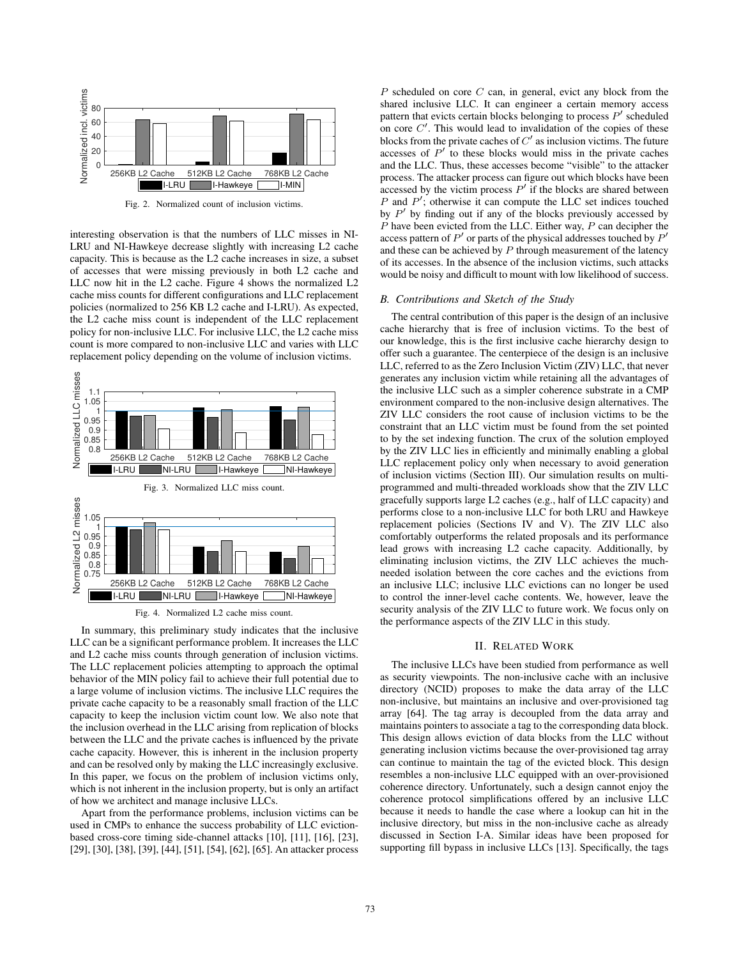

Fig. 2. Normalized count of inclusion victims.

interesting observation is that the numbers of LLC misses in NI-LRU and NI-Hawkeye decrease slightly with increasing L2 cache capacity. This is because as the L2 cache increases in size, a subset of accesses that were missing previously in both L2 cache and LLC now hit in the L2 cache. Figure 4 shows the normalized L2 cache miss counts for different configurations and LLC replacement policies (normalized to 256 KB L2 cache and I-LRU). As expected, the L2 cache miss count is independent of the LLC replacement policy for non-inclusive LLC. For inclusive LLC, the L2 cache miss count is more compared to non-inclusive LLC and varies with LLC replacement policy depending on the volume of inclusion victims.



Fig. 4. Normalized L2 cache miss count.

In summary, this preliminary study indicates that the inclusive LLC can be a significant performance problem. It increases the LLC and L2 cache miss counts through generation of inclusion victims. The LLC replacement policies attempting to approach the optimal behavior of the MIN policy fail to achieve their full potential due to a large volume of inclusion victims. The inclusive LLC requires the private cache capacity to be a reasonably small fraction of the LLC capacity to keep the inclusion victim count low. We also note that the inclusion overhead in the LLC arising from replication of blocks between the LLC and the private caches is influenced by the private cache capacity. However, this is inherent in the inclusion property and can be resolved only by making the LLC increasingly exclusive. In this paper, we focus on the problem of inclusion victims only, which is not inherent in the inclusion property, but is only an artifact of how we architect and manage inclusive LLCs.

Apart from the performance problems, inclusion victims can be used in CMPs to enhance the success probability of LLC evictionbased cross-core timing side-channel attacks [10], [11], [16], [23], [29], [30], [38], [39], [44], [51], [54], [62], [65]. An attacker process

 $P$  scheduled on core  $C$  can, in general, evict any block from the shared inclusive LLC. It can engineer a certain memory access pattern that evicts certain blocks belonging to process  $P'$  scheduled on core  $C'$ . This would lead to invalidation of the copies of these blocks from the private caches of  $C'$  as inclusion victims. The future accesses of  $P'$  to these blocks would miss in the private caches and the LLC. Thus, these accesses become "visible" to the attacker process. The attacker process can figure out which blocks have been accessed by the victim process  $P'$  if the blocks are shared between  $P$  and  $P'$ ; otherwise it can compute the LLC set indices touched by  $P'$  by finding out if any of the blocks previously accessed by  $P$  have been evicted from the LLC. Either way,  $P$  can decipher the access pattern of  $P'$  or parts of the physical addresses touched by  $P'$ and these can be achieved by  $P$  through measurement of the latency of its accesses. In the absence of the inclusion victims, such attacks would be noisy and difficult to mount with low likelihood of success.

#### *B. Contributions and Sketch of the Study*

The central contribution of this paper is the design of an inclusive cache hierarchy that is free of inclusion victims. To the best of our knowledge, this is the first inclusive cache hierarchy design to offer such a guarantee. The centerpiece of the design is an inclusive LLC, referred to as the Zero Inclusion Victim (ZIV) LLC, that never generates any inclusion victim while retaining all the advantages of the inclusive LLC such as a simpler coherence substrate in a CMP environment compared to the non-inclusive design alternatives. The ZIV LLC considers the root cause of inclusion victims to be the constraint that an LLC victim must be found from the set pointed to by the set indexing function. The crux of the solution employed by the ZIV LLC lies in efficiently and minimally enabling a global LLC replacement policy only when necessary to avoid generation of inclusion victims (Section III). Our simulation results on multiprogrammed and multi-threaded workloads show that the ZIV LLC gracefully supports large L2 caches (e.g., half of LLC capacity) and performs close to a non-inclusive LLC for both LRU and Hawkeye replacement policies (Sections IV and V). The ZIV LLC also comfortably outperforms the related proposals and its performance lead grows with increasing L2 cache capacity. Additionally, by eliminating inclusion victims, the ZIV LLC achieves the muchneeded isolation between the core caches and the evictions from an inclusive LLC; inclusive LLC evictions can no longer be used to control the inner-level cache contents. We, however, leave the security analysis of the ZIV LLC to future work. We focus only on the performance aspects of the ZIV LLC in this study.

## II. RELATED WORK

The inclusive LLCs have been studied from performance as well as security viewpoints. The non-inclusive cache with an inclusive directory (NCID) proposes to make the data array of the LLC non-inclusive, but maintains an inclusive and over-provisioned tag array [64]. The tag array is decoupled from the data array and maintains pointers to associate a tag to the corresponding data block. This design allows eviction of data blocks from the LLC without generating inclusion victims because the over-provisioned tag array can continue to maintain the tag of the evicted block. This design resembles a non-inclusive LLC equipped with an over-provisioned coherence directory. Unfortunately, such a design cannot enjoy the coherence protocol simplifications offered by an inclusive LLC because it needs to handle the case where a lookup can hit in the inclusive directory, but miss in the non-inclusive cache as already discussed in Section I-A. Similar ideas have been proposed for supporting fill bypass in inclusive LLCs [13]. Specifically, the tags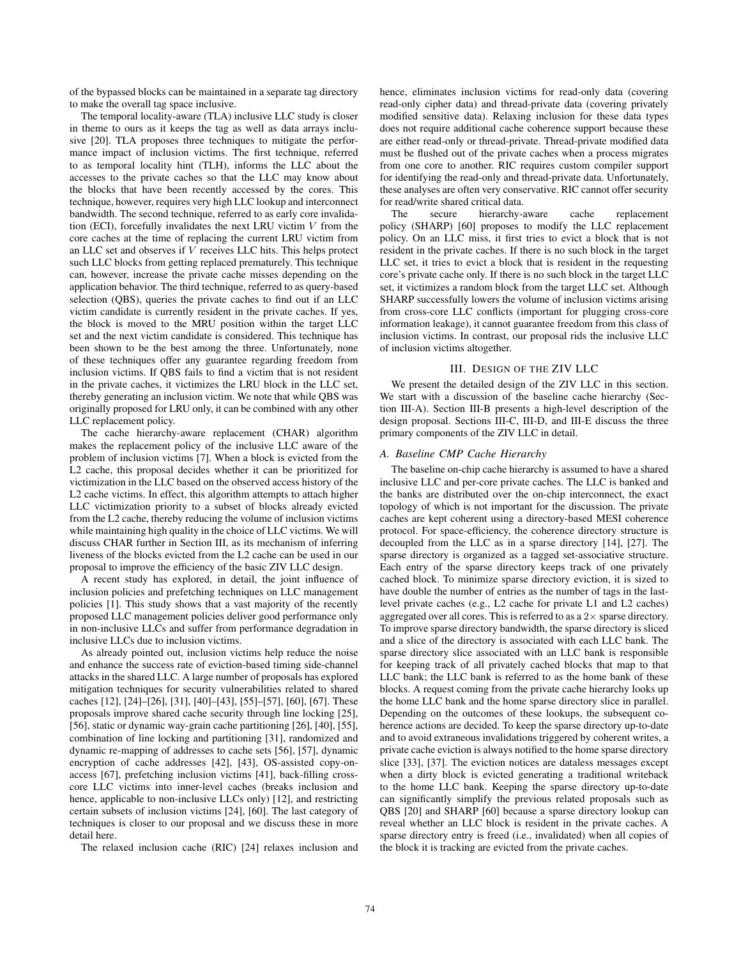of the bypassed blocks can be maintained in a separate tag directory to make the overall tag space inclusive.

The temporal locality-aware (TLA) inclusive LLC study is closer in theme to ours as it keeps the tag as well as data arrays inclusive [20]. TLA proposes three techniques to mitigate the performance impact of inclusion victims. The first technique, referred to as temporal locality hint (TLH), informs the LLC about the accesses to the private caches so that the LLC may know about the blocks that have been recently accessed by the cores. This technique, however, requires very high LLC lookup and interconnect bandwidth. The second technique, referred to as early core invalidation (ECI), forcefully invalidates the next LRU victim  $V$  from the core caches at the time of replacing the current LRU victim from an LLC set and observes if V receives LLC hits. This helps protect such LLC blocks from getting replaced prematurely. This technique can, however, increase the private cache misses depending on the application behavior. The third technique, referred to as query-based selection (QBS), queries the private caches to find out if an LLC victim candidate is currently resident in the private caches. If yes, the block is moved to the MRU position within the target LLC set and the next victim candidate is considered. This technique has been shown to be the best among the three. Unfortunately, none of these techniques offer any guarantee regarding freedom from inclusion victims. If QBS fails to find a victim that is not resident in the private caches, it victimizes the LRU block in the LLC set, thereby generating an inclusion victim. We note that while QBS was originally proposed for LRU only, it can be combined with any other LLC replacement policy.

The cache hierarchy-aware replacement (CHAR) algorithm makes the replacement policy of the inclusive LLC aware of the problem of inclusion victims [7]. When a block is evicted from the L2 cache, this proposal decides whether it can be prioritized for victimization in the LLC based on the observed access history of the L2 cache victims. In effect, this algorithm attempts to attach higher LLC victimization priority to a subset of blocks already evicted from the L2 cache, thereby reducing the volume of inclusion victims while maintaining high quality in the choice of LLC victims. We will discuss CHAR further in Section III, as its mechanism of inferring liveness of the blocks evicted from the L2 cache can be used in our proposal to improve the efficiency of the basic ZIV LLC design.

A recent study has explored, in detail, the joint influence of inclusion policies and prefetching techniques on LLC management policies [1]. This study shows that a vast majority of the recently proposed LLC management policies deliver good performance only in non-inclusive LLCs and suffer from performance degradation in inclusive LLCs due to inclusion victims.

As already pointed out, inclusion victims help reduce the noise and enhance the success rate of eviction-based timing side-channel attacks in the shared LLC. A large number of proposals has explored mitigation techniques for security vulnerabilities related to shared caches [12], [24]–[26], [31], [40]–[43], [55]–[57], [60], [67]. These proposals improve shared cache security through line locking [25], [56], static or dynamic way-grain cache partitioning [26], [40], [55], combination of line locking and partitioning [31], randomized and dynamic re-mapping of addresses to cache sets [56], [57], dynamic encryption of cache addresses [42], [43], OS-assisted copy-onaccess [67], prefetching inclusion victims [41], back-filling crosscore LLC victims into inner-level caches (breaks inclusion and hence, applicable to non-inclusive LLCs only) [12], and restricting certain subsets of inclusion victims [24], [60]. The last category of techniques is closer to our proposal and we discuss these in more detail here.

The relaxed inclusion cache (RIC) [24] relaxes inclusion and

hence, eliminates inclusion victims for read-only data (covering read-only cipher data) and thread-private data (covering privately modified sensitive data). Relaxing inclusion for these data types does not require additional cache coherence support because these are either read-only or thread-private. Thread-private modified data must be flushed out of the private caches when a process migrates from one core to another. RIC requires custom compiler support for identifying the read-only and thread-private data. Unfortunately, these analyses are often very conservative. RIC cannot offer security for read/write shared critical data.

The secure hierarchy-aware cache replacement policy (SHARP) [60] proposes to modify the LLC replacement policy. On an LLC miss, it first tries to evict a block that is not resident in the private caches. If there is no such block in the target LLC set, it tries to evict a block that is resident in the requesting core's private cache only. If there is no such block in the target LLC set, it victimizes a random block from the target LLC set. Although SHARP successfully lowers the volume of inclusion victims arising from cross-core LLC conflicts (important for plugging cross-core information leakage), it cannot guarantee freedom from this class of inclusion victims. In contrast, our proposal rids the inclusive LLC of inclusion victims altogether.

## III. DESIGN OF THE ZIV LLC

We present the detailed design of the ZIV LLC in this section. We start with a discussion of the baseline cache hierarchy (Section III-A). Section III-B presents a high-level description of the design proposal. Sections III-C, III-D, and III-E discuss the three primary components of the ZIV LLC in detail.

# *A. Baseline CMP Cache Hierarchy*

The baseline on-chip cache hierarchy is assumed to have a shared inclusive LLC and per-core private caches. The LLC is banked and the banks are distributed over the on-chip interconnect, the exact topology of which is not important for the discussion. The private caches are kept coherent using a directory-based MESI coherence protocol. For space-efficiency, the coherence directory structure is decoupled from the LLC as in a sparse directory [14], [27]. The sparse directory is organized as a tagged set-associative structure. Each entry of the sparse directory keeps track of one privately cached block. To minimize sparse directory eviction, it is sized to have double the number of entries as the number of tags in the lastlevel private caches (e.g., L2 cache for private L1 and L2 caches) aggregated over all cores. This is referred to as a  $2\times$  sparse directory. To improve sparse directory bandwidth, the sparse directory is sliced and a slice of the directory is associated with each LLC bank. The sparse directory slice associated with an LLC bank is responsible for keeping track of all privately cached blocks that map to that LLC bank; the LLC bank is referred to as the home bank of these blocks. A request coming from the private cache hierarchy looks up the home LLC bank and the home sparse directory slice in parallel. Depending on the outcomes of these lookups, the subsequent coherence actions are decided. To keep the sparse directory up-to-date and to avoid extraneous invalidations triggered by coherent writes, a private cache eviction is always notified to the home sparse directory slice [33], [37]. The eviction notices are dataless messages except when a dirty block is evicted generating a traditional writeback to the home LLC bank. Keeping the sparse directory up-to-date can significantly simplify the previous related proposals such as QBS [20] and SHARP [60] because a sparse directory lookup can reveal whether an LLC block is resident in the private caches. A sparse directory entry is freed (i.e., invalidated) when all copies of the block it is tracking are evicted from the private caches.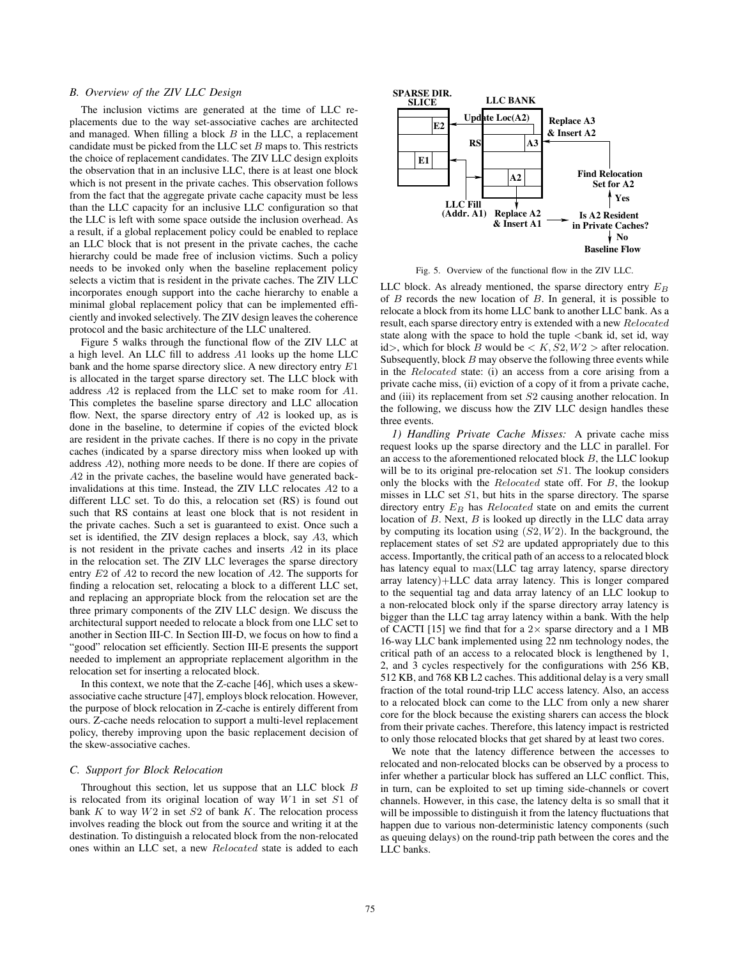# *B. Overview of the ZIV LLC Design*

The inclusion victims are generated at the time of LLC replacements due to the way set-associative caches are architected and managed. When filling a block  $B$  in the LLC, a replacement candidate must be picked from the LLC set  $B$  maps to. This restricts the choice of replacement candidates. The ZIV LLC design exploits the observation that in an inclusive LLC, there is at least one block which is not present in the private caches. This observation follows from the fact that the aggregate private cache capacity must be less than the LLC capacity for an inclusive LLC configuration so that the LLC is left with some space outside the inclusion overhead. As a result, if a global replacement policy could be enabled to replace an LLC block that is not present in the private caches, the cache hierarchy could be made free of inclusion victims. Such a policy needs to be invoked only when the baseline replacement policy selects a victim that is resident in the private caches. The ZIV LLC incorporates enough support into the cache hierarchy to enable a minimal global replacement policy that can be implemented efficiently and invoked selectively. The ZIV design leaves the coherence protocol and the basic architecture of the LLC unaltered.

Figure 5 walks through the functional flow of the ZIV LLC at a high level. An LLC fill to address A1 looks up the home LLC bank and the home sparse directory slice. A new directory entry E1 is allocated in the target sparse directory set. The LLC block with address A2 is replaced from the LLC set to make room for A1. This completes the baseline sparse directory and LLC allocation flow. Next, the sparse directory entry of A2 is looked up, as is done in the baseline, to determine if copies of the evicted block are resident in the private caches. If there is no copy in the private caches (indicated by a sparse directory miss when looked up with address A2), nothing more needs to be done. If there are copies of A2 in the private caches, the baseline would have generated backinvalidations at this time. Instead, the ZIV LLC relocates A2 to a different LLC set. To do this, a relocation set (RS) is found out such that RS contains at least one block that is not resident in the private caches. Such a set is guaranteed to exist. Once such a set is identified, the ZIV design replaces a block, say A3, which is not resident in the private caches and inserts A2 in its place in the relocation set. The ZIV LLC leverages the sparse directory entry E2 of A2 to record the new location of A2. The supports for finding a relocation set, relocating a block to a different LLC set, and replacing an appropriate block from the relocation set are the three primary components of the ZIV LLC design. We discuss the architectural support needed to relocate a block from one LLC set to another in Section III-C. In Section III-D, we focus on how to find a "good" relocation set efficiently. Section III-E presents the support needed to implement an appropriate replacement algorithm in the relocation set for inserting a relocated block.

In this context, we note that the Z-cache [46], which uses a skewassociative cache structure [47], employs block relocation. However, the purpose of block relocation in Z-cache is entirely different from ours. Z-cache needs relocation to support a multi-level replacement policy, thereby improving upon the basic replacement decision of the skew-associative caches.

## *C. Support for Block Relocation*

Throughout this section, let us suppose that an LLC block B is relocated from its original location of way W1 in set S1 of bank  $K$  to way  $W2$  in set  $S2$  of bank  $K$ . The relocation process involves reading the block out from the source and writing it at the destination. To distinguish a relocated block from the non-relocated ones within an LLC set, a new Relocated state is added to each



Fig. 5. Overview of the functional flow in the ZIV LLC.

LLC block. As already mentioned, the sparse directory entry  $E_B$ of  $B$  records the new location of  $B$ . In general, it is possible to relocate a block from its home LLC bank to another LLC bank. As a result, each sparse directory entry is extended with a new Relocated state along with the space to hold the tuple  $\lt$ bank id, set id, way id>, which for block B would be  $K, S2, W2 >$  after relocation. Subsequently, block  $B$  may observe the following three events while in the Relocated state: (i) an access from a core arising from a private cache miss, (ii) eviction of a copy of it from a private cache, and (iii) its replacement from set S2 causing another relocation. In the following, we discuss how the ZIV LLC design handles these three events.

*1) Handling Private Cache Misses:* A private cache miss request looks up the sparse directory and the LLC in parallel. For an access to the aforementioned relocated block  $B$ , the LLC lookup will be to its original pre-relocation set S1. The lookup considers only the blocks with the *Relocated* state off. For B, the lookup misses in LLC set S1, but hits in the sparse directory. The sparse directory entry  $E_B$  has *Relocated* state on and emits the current location of  $B$ . Next,  $B$  is looked up directly in the LLC data array by computing its location using  $(S2, W2)$ . In the background, the replacement states of set S2 are updated appropriately due to this access. Importantly, the critical path of an access to a relocated block has latency equal to max(LLC tag array latency, sparse directory array latency)+LLC data array latency. This is longer compared to the sequential tag and data array latency of an LLC lookup to a non-relocated block only if the sparse directory array latency is bigger than the LLC tag array latency within a bank. With the help of CACTI [15] we find that for a  $2 \times$  sparse directory and a 1 MB 16-way LLC bank implemented using 22 nm technology nodes, the critical path of an access to a relocated block is lengthened by 1, 2, and 3 cycles respectively for the configurations with 256 KB, 512 KB, and 768 KB L2 caches. This additional delay is a very small fraction of the total round-trip LLC access latency. Also, an access to a relocated block can come to the LLC from only a new sharer core for the block because the existing sharers can access the block from their private caches. Therefore, this latency impact is restricted to only those relocated blocks that get shared by at least two cores.

We note that the latency difference between the accesses to relocated and non-relocated blocks can be observed by a process to infer whether a particular block has suffered an LLC conflict. This, in turn, can be exploited to set up timing side-channels or covert channels. However, in this case, the latency delta is so small that it will be impossible to distinguish it from the latency fluctuations that happen due to various non-deterministic latency components (such as queuing delays) on the round-trip path between the cores and the LLC banks.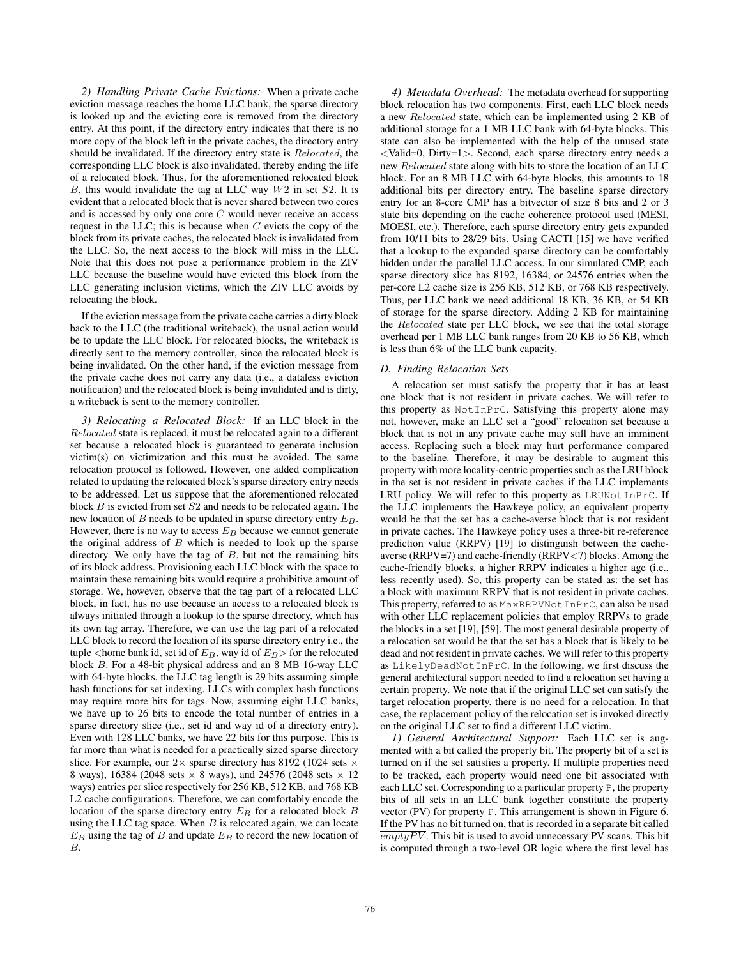*2) Handling Private Cache Evictions:* When a private cache eviction message reaches the home LLC bank, the sparse directory is looked up and the evicting core is removed from the directory entry. At this point, if the directory entry indicates that there is no more copy of the block left in the private caches, the directory entry should be invalidated. If the directory entry state is Relocated, the corresponding LLC block is also invalidated, thereby ending the life of a relocated block. Thus, for the aforementioned relocated block  $B$ , this would invalidate the tag at LLC way  $W2$  in set  $S2$ . It is evident that a relocated block that is never shared between two cores and is accessed by only one core C would never receive an access request in the LLC; this is because when  $C$  evicts the copy of the block from its private caches, the relocated block is invalidated from the LLC. So, the next access to the block will miss in the LLC. Note that this does not pose a performance problem in the ZIV LLC because the baseline would have evicted this block from the LLC generating inclusion victims, which the ZIV LLC avoids by relocating the block.

If the eviction message from the private cache carries a dirty block back to the LLC (the traditional writeback), the usual action would be to update the LLC block. For relocated blocks, the writeback is directly sent to the memory controller, since the relocated block is being invalidated. On the other hand, if the eviction message from the private cache does not carry any data (i.e., a dataless eviction notification) and the relocated block is being invalidated and is dirty, a writeback is sent to the memory controller.

*3) Relocating a Relocated Block:* If an LLC block in the Relocated state is replaced, it must be relocated again to a different set because a relocated block is guaranteed to generate inclusion victim(s) on victimization and this must be avoided. The same relocation protocol is followed. However, one added complication related to updating the relocated block's sparse directory entry needs to be addressed. Let us suppose that the aforementioned relocated block B is evicted from set S2 and needs to be relocated again. The new location of B needs to be updated in sparse directory entry  $E_B$ . However, there is no way to access  $E_B$  because we cannot generate the original address of  $B$  which is needed to look up the sparse directory. We only have the tag of  $B$ , but not the remaining bits of its block address. Provisioning each LLC block with the space to maintain these remaining bits would require a prohibitive amount of storage. We, however, observe that the tag part of a relocated LLC block, in fact, has no use because an access to a relocated block is always initiated through a lookup to the sparse directory, which has its own tag array. Therefore, we can use the tag part of a relocated LLC block to record the location of its sparse directory entry i.e., the tuple <home bank id, set id of  $E_B$ , way id of  $E_B$ > for the relocated block B. For a 48-bit physical address and an 8 MB 16-way LLC with 64-byte blocks, the LLC tag length is 29 bits assuming simple hash functions for set indexing. LLCs with complex hash functions may require more bits for tags. Now, assuming eight LLC banks, we have up to 26 bits to encode the total number of entries in a sparse directory slice (i.e., set id and way id of a directory entry). Even with 128 LLC banks, we have 22 bits for this purpose. This is far more than what is needed for a practically sized sparse directory slice. For example, our  $2 \times$  sparse directory has 8192 (1024 sets  $\times$ 8 ways), 16384 (2048 sets  $\times$  8 ways), and 24576 (2048 sets  $\times$  12 ways) entries per slice respectively for 256 KB, 512 KB, and 768 KB L2 cache configurations. Therefore, we can comfortably encode the location of the sparse directory entry  $E_B$  for a relocated block  $B$ using the LLC tag space. When  $B$  is relocated again, we can locate  $E_B$  using the tag of B and update  $E_B$  to record the new location of B.

*4) Metadata Overhead:* The metadata overhead for supporting block relocation has two components. First, each LLC block needs a new Relocated state, which can be implemented using 2 KB of additional storage for a 1 MB LLC bank with 64-byte blocks. This state can also be implemented with the help of the unused state <Valid=0, Dirty=1>. Second, each sparse directory entry needs a new Relocated state along with bits to store the location of an LLC block. For an 8 MB LLC with 64-byte blocks, this amounts to 18 additional bits per directory entry. The baseline sparse directory entry for an 8-core CMP has a bitvector of size 8 bits and 2 or 3 state bits depending on the cache coherence protocol used (MESI, MOESI, etc.). Therefore, each sparse directory entry gets expanded from 10/11 bits to 28/29 bits. Using CACTI [15] we have verified that a lookup to the expanded sparse directory can be comfortably hidden under the parallel LLC access. In our simulated CMP, each sparse directory slice has 8192, 16384, or 24576 entries when the per-core L2 cache size is 256 KB, 512 KB, or 768 KB respectively. Thus, per LLC bank we need additional 18 KB, 36 KB, or 54 KB of storage for the sparse directory. Adding 2 KB for maintaining the Relocated state per LLC block, we see that the total storage overhead per 1 MB LLC bank ranges from 20 KB to 56 KB, which is less than 6% of the LLC bank capacity.

## *D. Finding Relocation Sets*

A relocation set must satisfy the property that it has at least one block that is not resident in private caches. We will refer to this property as NotInPrC. Satisfying this property alone may not, however, make an LLC set a "good" relocation set because a block that is not in any private cache may still have an imminent access. Replacing such a block may hurt performance compared to the baseline. Therefore, it may be desirable to augment this property with more locality-centric properties such as the LRU block in the set is not resident in private caches if the LLC implements LRU policy. We will refer to this property as  $LRUNotInPrC$ . If the LLC implements the Hawkeye policy, an equivalent property would be that the set has a cache-averse block that is not resident in private caches. The Hawkeye policy uses a three-bit re-reference prediction value (RRPV) [19] to distinguish between the cacheaverse ( $RRPV=7$ ) and cache-friendly ( $RRPV<7$ ) blocks. Among the cache-friendly blocks, a higher RRPV indicates a higher age (i.e., less recently used). So, this property can be stated as: the set has a block with maximum RRPV that is not resident in private caches. This property, referred to as MaxRRPVNotInPrC, can also be used with other LLC replacement policies that employ RRPVs to grade the blocks in a set [19], [59]. The most general desirable property of a relocation set would be that the set has a block that is likely to be dead and not resident in private caches. We will refer to this property as LikelyDeadNotInPrC. In the following, we first discuss the general architectural support needed to find a relocation set having a certain property. We note that if the original LLC set can satisfy the target relocation property, there is no need for a relocation. In that case, the replacement policy of the relocation set is invoked directly on the original LLC set to find a different LLC victim.

*1) General Architectural Support:* Each LLC set is augmented with a bit called the property bit. The property bit of a set is turned on if the set satisfies a property. If multiple properties need to be tracked, each property would need one bit associated with each LLC set. Corresponding to a particular property P, the property bits of all sets in an LLC bank together constitute the property vector (PV) for property P. This arrangement is shown in Figure 6. If the PV has no bit turned on, that is recorded in a separate bit called  $\overline{emptyPV}$ . This bit is used to avoid unnecessary PV scans. This bit is computed through a two-level OR logic where the first level has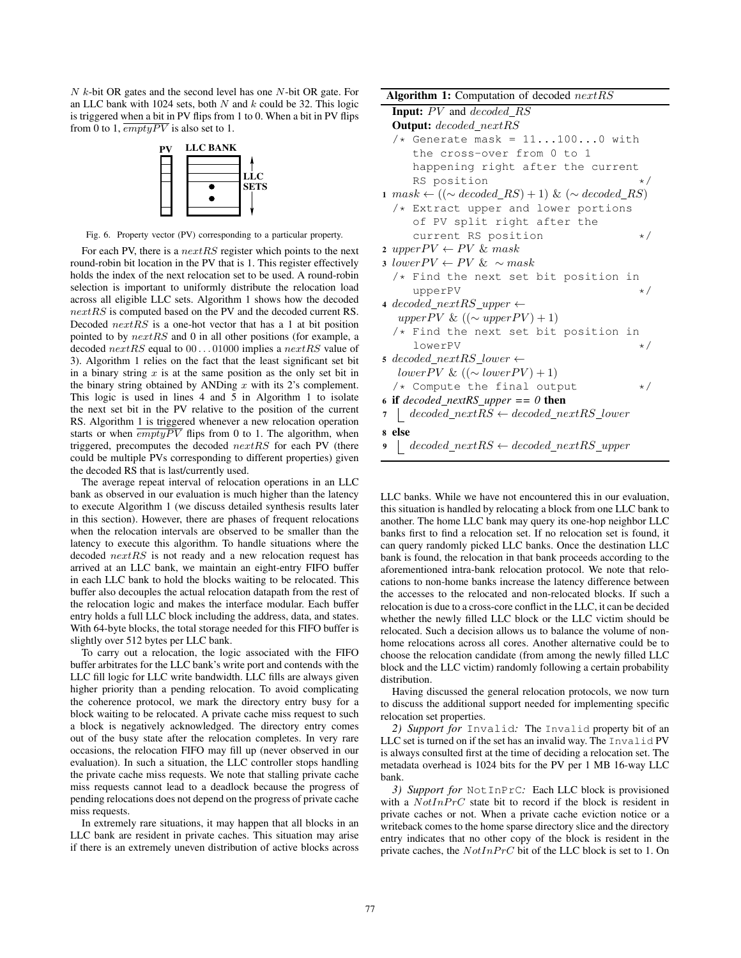N k-bit OR gates and the second level has one N-bit OR gate. For an LLC bank with 1024 sets, both  $N$  and  $k$  could be 32. This logic is triggered when a bit in PV flips from 1 to 0. When a bit in PV flips from 0 to 1,  $\overline{emptyPV}$  is also set to 1.



Fig. 6. Property vector (PV) corresponding to a particular property.

For each PV, there is a  $nextRS$  register which points to the next round-robin bit location in the PV that is 1. This register effectively holds the index of the next relocation set to be used. A round-robin selection is important to uniformly distribute the relocation load across all eligible LLC sets. Algorithm 1 shows how the decoded nextRS is computed based on the PV and the decoded current RS. Decoded nextRS is a one-hot vector that has a 1 at bit position pointed to by nextRS and 0 in all other positions (for example, a decoded  $nextRS$  equal to  $00...01000$  implies a  $nextRS$  value of 3). Algorithm 1 relies on the fact that the least significant set bit in a binary string  $x$  is at the same position as the only set bit in the binary string obtained by ANDing  $x$  with its 2's complement. This logic is used in lines 4 and 5 in Algorithm 1 to isolate the next set bit in the PV relative to the position of the current RS. Algorithm 1 is triggered whenever a new relocation operation starts or when  $\overline{emptyPV}$  flips from 0 to 1. The algorithm, when triggered, precomputes the decoded nextRS for each PV (there could be multiple PVs corresponding to different properties) given the decoded RS that is last/currently used.

The average repeat interval of relocation operations in an LLC bank as observed in our evaluation is much higher than the latency to execute Algorithm 1 (we discuss detailed synthesis results later in this section). However, there are phases of frequent relocations when the relocation intervals are observed to be smaller than the latency to execute this algorithm. To handle situations where the decoded  $nextRS$  is not ready and a new relocation request has arrived at an LLC bank, we maintain an eight-entry FIFO buffer in each LLC bank to hold the blocks waiting to be relocated. This buffer also decouples the actual relocation datapath from the rest of the relocation logic and makes the interface modular. Each buffer entry holds a full LLC block including the address, data, and states. With 64-byte blocks, the total storage needed for this FIFO buffer is slightly over 512 bytes per LLC bank.

To carry out a relocation, the logic associated with the FIFO buffer arbitrates for the LLC bank's write port and contends with the LLC fill logic for LLC write bandwidth. LLC fills are always given higher priority than a pending relocation. To avoid complicating the coherence protocol, we mark the directory entry busy for a block waiting to be relocated. A private cache miss request to such a block is negatively acknowledged. The directory entry comes out of the busy state after the relocation completes. In very rare occasions, the relocation FIFO may fill up (never observed in our evaluation). In such a situation, the LLC controller stops handling the private cache miss requests. We note that stalling private cache miss requests cannot lead to a deadlock because the progress of pending relocations does not depend on the progress of private cache miss requests.

In extremely rare situations, it may happen that all blocks in an LLC bank are resident in private caches. This situation may arise if there is an extremely uneven distribution of active blocks across

|   | Algorithm 1: Computation of decoded $nextRS$                                 |
|---|------------------------------------------------------------------------------|
|   | Input: PV and decoded_RS                                                     |
|   | <b>Output:</b> decoded_nextRS                                                |
|   | /* Generate mask = $111000$ with                                             |
|   | the cross-over from 0 to 1                                                   |
|   | happening right after the current                                            |
|   | RS position<br>$\star/$                                                      |
|   | $1 \; mask \leftarrow ((\sim decoded\_RS) + 1) \; \& \; (\sim decoded\_RS))$ |
|   | $/*$ Extract upper and lower portions                                        |
|   | of PV split right after the                                                  |
|   | current RS position<br>$\star/$                                              |
|   | 2 upper $PV \leftarrow PV \& mask$                                           |
|   | 3 lower $PV \leftarrow PV \& \sim mask$                                      |
|   | /* Find the next set bit position in                                         |
|   | upperPV<br>$\star/$                                                          |
|   | 4 decoded nextRS upper $\leftarrow$                                          |
|   | upper PV & $((\sim upper PV) + 1)$                                           |
|   | /* Find the next set bit position in                                         |
|   | lowerPV<br>$\star/$                                                          |
|   | $5~decoded\_nextRS\_lower \leftarrow$                                        |
|   | lowerPV & $((\sim lower PV) + 1)$                                            |
|   | /* Compute the final output<br>$\star/$                                      |
|   | 6 if decoded_nextRS_upper == 0 then                                          |
| 7 | $\vert$ decoded_nextRS $\leftarrow$ decoded_nextRS_lower                     |
|   | s else                                                                       |
| 9 | $\vert$ decoded_nextRS $\leftarrow$ decoded_nextRS_upper                     |

LLC banks. While we have not encountered this in our evaluation, this situation is handled by relocating a block from one LLC bank to another. The home LLC bank may query its one-hop neighbor LLC banks first to find a relocation set. If no relocation set is found, it can query randomly picked LLC banks. Once the destination LLC bank is found, the relocation in that bank proceeds according to the aforementioned intra-bank relocation protocol. We note that relocations to non-home banks increase the latency difference between the accesses to the relocated and non-relocated blocks. If such a relocation is due to a cross-core conflict in the LLC, it can be decided whether the newly filled LLC block or the LLC victim should be relocated. Such a decision allows us to balance the volume of nonhome relocations across all cores. Another alternative could be to choose the relocation candidate (from among the newly filled LLC block and the LLC victim) randomly following a certain probability distribution.

Having discussed the general relocation protocols, we now turn to discuss the additional support needed for implementing specific relocation set properties.

*2) Support for* Invalid*:* The Invalid property bit of an LLC set is turned on if the set has an invalid way. The Invalid PV is always consulted first at the time of deciding a relocation set. The metadata overhead is 1024 bits for the PV per 1 MB 16-way LLC bank.

*3) Support for* NotInPrC*:* Each LLC block is provisioned with a  $NotInPrC$  state bit to record if the block is resident in private caches or not. When a private cache eviction notice or a writeback comes to the home sparse directory slice and the directory entry indicates that no other copy of the block is resident in the private caches, the  $NotInPrC$  bit of the LLC block is set to 1. On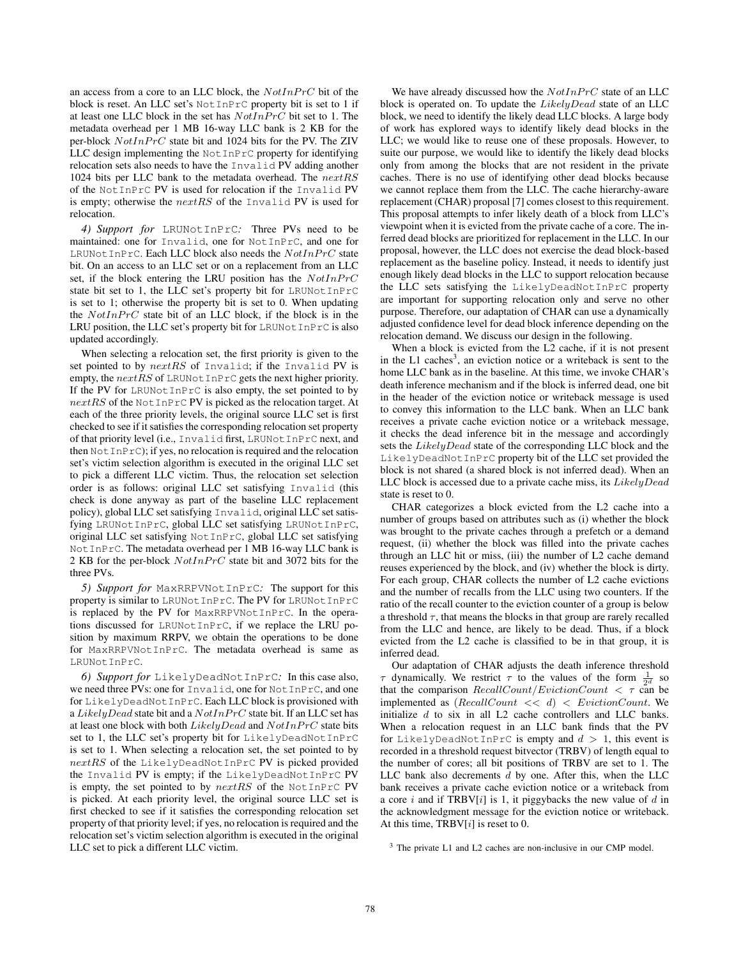an access from a core to an LLC block, the  $NotInPrC$  bit of the block is reset. An LLC set's NotInPrC property bit is set to 1 if at least one LLC block in the set has  $NotInPrC$  bit set to 1. The metadata overhead per 1 MB 16-way LLC bank is 2 KB for the per-block  $NotIn PrC$  state bit and 1024 bits for the PV. The ZIV LLC design implementing the NotInPrC property for identifying relocation sets also needs to have the Invalid PV adding another 1024 bits per LLC bank to the metadata overhead. The nextRS of the NotInPrC PV is used for relocation if the Invalid PV is empty; otherwise the  $nextRS$  of the Invalid PV is used for relocation.

*4) Support for* LRUNotInPrC*:* Three PVs need to be maintained: one for Invalid, one for NotInPrC, and one for  $\textsc{LRUNotInPrC}.$  Each LLC block also needs the  $NotInPrC$  state bit. On an access to an LLC set or on a replacement from an LLC set, if the block entering the LRU position has the  $NotInPrC$ state bit set to 1, the LLC set's property bit for LRUNotInPrC is set to 1; otherwise the property bit is set to 0. When updating the  $NotInPrC$  state bit of an LLC block, if the block is in the LRU position, the LLC set's property bit for LRUNotInPrC is also updated accordingly.

When selecting a relocation set, the first priority is given to the set pointed to by  $nextRS$  of Invalid; if the Invalid PV is empty, the  $nextRS$  of LRUNotInPrC gets the next higher priority. If the PV for LRUNOtInPrC is also empty, the set pointed to by  $nextRS$  of the NotInPrC PV is picked as the relocation target. At each of the three priority levels, the original source LLC set is first checked to see if it satisfies the corresponding relocation set property of that priority level (i.e., Invalid first, LRUNotInPrC next, and then NotInPrC); if yes, no relocation is required and the relocation set's victim selection algorithm is executed in the original LLC set to pick a different LLC victim. Thus, the relocation set selection order is as follows: original LLC set satisfying Invalid (this check is done anyway as part of the baseline LLC replacement policy), global LLC set satisfying Invalid, original LLC set satisfying LRUNotInPrC, global LLC set satisfying LRUNotInPrC, original LLC set satisfying NotInPrC, global LLC set satisfying NotInPrC. The metadata overhead per 1 MB 16-way LLC bank is 2 KB for the per-block  $NotIn PrC$  state bit and 3072 bits for the three PVs.

*5) Support for* MaxRRPVNotInPrC*:* The support for this property is similar to LRUNotInPrC. The PV for LRUNotInPrC is replaced by the PV for MaxRRPVNotInPrC. In the operations discussed for LRUNotInPrC, if we replace the LRU position by maximum RRPV, we obtain the operations to be done for MaxRRPVNotInPrC. The metadata overhead is same as LRUNotInPrC.

*6) Support for* LikelyDeadNotInPrC*:* In this case also, we need three PVs: one for Invalid, one for NotInPrC, and one for LikelyDeadNotInPrC. Each LLC block is provisioned with a LikelyDead state bit and a  $NotInPrC$  state bit. If an LLC set has at least one block with both  $Likely Dead$  and  $NotIn PrC$  state bits set to 1, the LLC set's property bit for LikelyDeadNotInPrC is set to 1. When selecting a relocation set, the set pointed to by  $nextRS$  of the LikelyDeadNotInPrC PV is picked provided the Invalid PV is empty; if the LikelyDeadNotInPrC PV is empty, the set pointed to by  $nextRS$  of the NotInPrC PV is picked. At each priority level, the original source LLC set is first checked to see if it satisfies the corresponding relocation set property of that priority level; if yes, no relocation is required and the relocation set's victim selection algorithm is executed in the original LLC set to pick a different LLC victim.

We have already discussed how the  $NotInPrC$  state of an LLC block is operated on. To update the  $Likely Dead$  state of an LLC block, we need to identify the likely dead LLC blocks. A large body of work has explored ways to identify likely dead blocks in the LLC; we would like to reuse one of these proposals. However, to suite our purpose, we would like to identify the likely dead blocks only from among the blocks that are not resident in the private caches. There is no use of identifying other dead blocks because we cannot replace them from the LLC. The cache hierarchy-aware replacement (CHAR) proposal [7] comes closest to this requirement. This proposal attempts to infer likely death of a block from LLC's viewpoint when it is evicted from the private cache of a core. The inferred dead blocks are prioritized for replacement in the LLC. In our proposal, however, the LLC does not exercise the dead block-based replacement as the baseline policy. Instead, it needs to identify just enough likely dead blocks in the LLC to support relocation because the LLC sets satisfying the LikelyDeadNotInPrC property are important for supporting relocation only and serve no other purpose. Therefore, our adaptation of CHAR can use a dynamically adjusted confidence level for dead block inference depending on the relocation demand. We discuss our design in the following.

When a block is evicted from the L2 cache, if it is not present in the L1 caches<sup>3</sup>, an eviction notice or a writeback is sent to the home LLC bank as in the baseline. At this time, we invoke CHAR's death inference mechanism and if the block is inferred dead, one bit in the header of the eviction notice or writeback message is used to convey this information to the LLC bank. When an LLC bank receives a private cache eviction notice or a writeback message, it checks the dead inference bit in the message and accordingly sets the LikelyDead state of the corresponding LLC block and the LikelyDeadNotInPrC property bit of the LLC set provided the block is not shared (a shared block is not inferred dead). When an LLC block is accessed due to a private cache miss, its  $Likely Dead$ state is reset to 0.

CHAR categorizes a block evicted from the L2 cache into a number of groups based on attributes such as (i) whether the block was brought to the private caches through a prefetch or a demand request, (ii) whether the block was filled into the private caches through an LLC hit or miss, (iii) the number of L2 cache demand reuses experienced by the block, and (iv) whether the block is dirty. For each group, CHAR collects the number of L2 cache evictions and the number of recalls from the LLC using two counters. If the ratio of the recall counter to the eviction counter of a group is below a threshold  $\tau$ , that means the blocks in that group are rarely recalled from the LLC and hence, are likely to be dead. Thus, if a block evicted from the L2 cache is classified to be in that group, it is inferred dead.

Our adaptation of CHAR adjusts the death inference threshold  $\tau$  dynamically. We restrict  $\tau$  to the values of the form  $\frac{1}{2^d}$  so that the comparison  $RecallCount/EvictionCount < \tau$  can be implemented as  $(RecallCount \leq d) \leq EvictionCount$ . We initialize d to six in all L2 cache controllers and LLC banks. When a relocation request in an LLC bank finds that the PV for LikelyDeadNotInPrC is empty and  $d > 1$ , this event is recorded in a threshold request bitvector (TRBV) of length equal to the number of cores; all bit positions of TRBV are set to 1. The LLC bank also decrements  $d$  by one. After this, when the LLC bank receives a private cache eviction notice or a writeback from a core i and if  $TRBV[i]$  is 1, it piggybacks the new value of d in the acknowledgment message for the eviction notice or writeback. At this time,  $TRBV[i]$  is reset to 0.

<sup>3</sup> The private L1 and L2 caches are non-inclusive in our CMP model.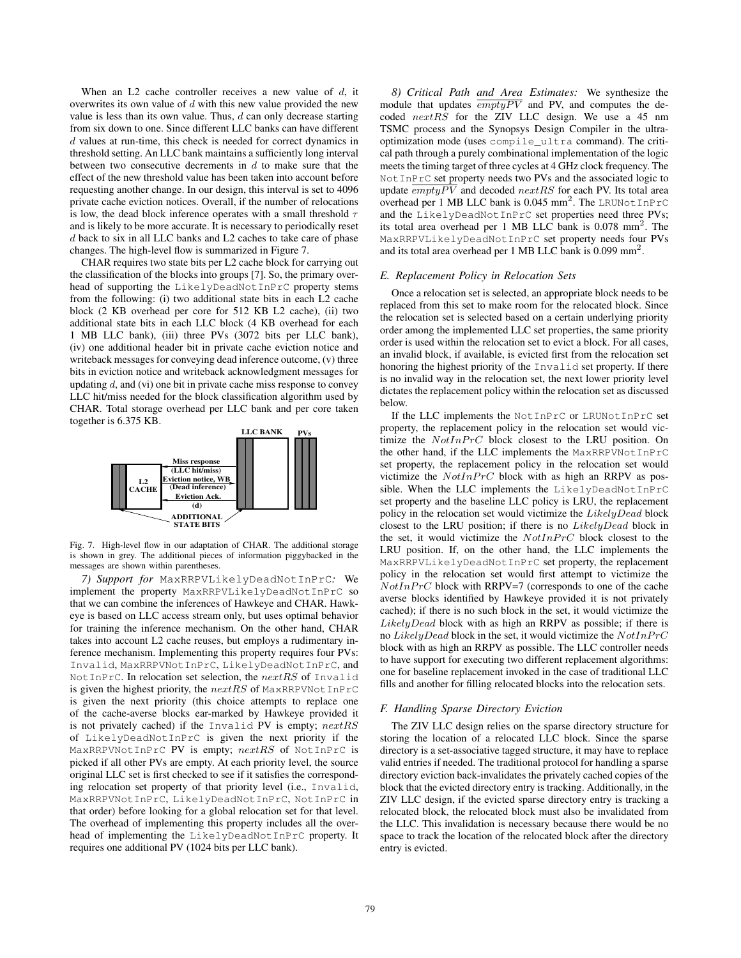When an L2 cache controller receives a new value of  $d$ , it overwrites its own value of  $d$  with this new value provided the new value is less than its own value. Thus,  $d$  can only decrease starting from six down to one. Since different LLC banks can have different d values at run-time, this check is needed for correct dynamics in threshold setting. An LLC bank maintains a sufficiently long interval between two consecutive decrements in  $d$  to make sure that the effect of the new threshold value has been taken into account before requesting another change. In our design, this interval is set to 4096 private cache eviction notices. Overall, if the number of relocations is low, the dead block inference operates with a small threshold  $\tau$ and is likely to be more accurate. It is necessary to periodically reset d back to six in all LLC banks and L2 caches to take care of phase changes. The high-level flow is summarized in Figure 7.

CHAR requires two state bits per L2 cache block for carrying out the classification of the blocks into groups [7]. So, the primary overhead of supporting the LikelyDeadNotInPrC property stems from the following: (i) two additional state bits in each L2 cache block (2 KB overhead per core for 512 KB L2 cache), (ii) two additional state bits in each LLC block (4 KB overhead for each 1 MB LLC bank), (iii) three PVs (3072 bits per LLC bank), (iv) one additional header bit in private cache eviction notice and writeback messages for conveying dead inference outcome, (v) three bits in eviction notice and writeback acknowledgment messages for updating  $d$ , and (vi) one bit in private cache miss response to convey LLC hit/miss needed for the block classification algorithm used by CHAR. Total storage overhead per LLC bank and per core taken together is 6.375 KB.



Fig. 7. High-level flow in our adaptation of CHAR. The additional storage is shown in grey. The additional pieces of information piggybacked in the messages are shown within parentheses.

*7) Support for* MaxRRPVLikelyDeadNotInPrC*:* We implement the property MaxRRPVLikelyDeadNotInPrC so that we can combine the inferences of Hawkeye and CHAR. Hawkeye is based on LLC access stream only, but uses optimal behavior for training the inference mechanism. On the other hand, CHAR takes into account L2 cache reuses, but employs a rudimentary inference mechanism. Implementing this property requires four PVs: Invalid, MaxRRPVNotInPrC, LikelyDeadNotInPrC, and NotInPrC. In relocation set selection, the nextRS of Invalid is given the highest priority, the  $nextRS$  of MaxRRPVNotInPrC is given the next priority (this choice attempts to replace one of the cache-averse blocks ear-marked by Hawkeye provided it is not privately cached) if the Invalid PV is empty;  $nextRS$ of LikelyDeadNotInPrC is given the next priority if the MaxRRPVNotInPrC PV is empty;  $nextRS$  of NotInPrC is picked if all other PVs are empty. At each priority level, the source original LLC set is first checked to see if it satisfies the corresponding relocation set property of that priority level (i.e., Invalid, MaxRRPVNotInPrC, LikelyDeadNotInPrC, NotInPrC in that order) before looking for a global relocation set for that level. The overhead of implementing this property includes all the overhead of implementing the LikelyDeadNotInPrC property. It requires one additional PV (1024 bits per LLC bank).

*8) Critical Path and Area Estimates:* We synthesize the module that updates  $\overline{emptyPV}$  and PV, and computes the decoded nextRS for the ZIV LLC design. We use a 45 nm TSMC process and the Synopsys Design Compiler in the ultraoptimization mode (uses compile\_ultra command). The critical path through a purely combinational implementation of the logic meets the timing target of three cycles at 4 GHz clock frequency. The NotInPrC set property needs two PVs and the associated logic to update  $\overline{emptyPV}$  and decoded  $nextRS$  for each PV. Its total area overhead per 1 MB LLC bank is 0.045 mm<sup>2</sup>. The LRUNotInPrC and the LikelyDeadNotInPrC set properties need three PVs; its total area overhead per 1 MB LLC bank is  $0.078$  mm<sup>2</sup>. The MaxRRPVLikelyDeadNotInPrC set property needs four PVs and its total area overhead per 1 MB LLC bank is 0.099 mm<sup>2</sup> .

#### *E. Replacement Policy in Relocation Sets*

Once a relocation set is selected, an appropriate block needs to be replaced from this set to make room for the relocated block. Since the relocation set is selected based on a certain underlying priority order among the implemented LLC set properties, the same priority order is used within the relocation set to evict a block. For all cases, an invalid block, if available, is evicted first from the relocation set honoring the highest priority of the Invalid set property. If there is no invalid way in the relocation set, the next lower priority level dictates the replacement policy within the relocation set as discussed below.

If the LLC implements the NotInPrC or LRUNotInPrC set property, the replacement policy in the relocation set would victimize the  $NotIn PrC$  block closest to the LRU position. On the other hand, if the LLC implements the MaxRRPVNotInPrC set property, the replacement policy in the relocation set would victimize the  $NotInPrC$  block with as high an RRPV as possible. When the LLC implements the LikelyDeadNotInPrC set property and the baseline LLC policy is LRU, the replacement policy in the relocation set would victimize the LikelyDead block closest to the LRU position; if there is no LikelyDead block in the set, it would victimize the  $NotIn PrC$  block closest to the LRU position. If, on the other hand, the LLC implements the MaxRRPVLikelyDeadNotInPrC set property, the replacement policy in the relocation set would first attempt to victimize the  $NotIn PrC$  block with RRPV=7 (corresponds to one of the cache averse blocks identified by Hawkeye provided it is not privately cached); if there is no such block in the set, it would victimize the  $Likely Dead$  block with as high an RRPV as possible; if there is no LikelyDead block in the set, it would victimize the  $NotIn PrC$ block with as high an RRPV as possible. The LLC controller needs to have support for executing two different replacement algorithms: one for baseline replacement invoked in the case of traditional LLC fills and another for filling relocated blocks into the relocation sets.

### *F. Handling Sparse Directory Eviction*

The ZIV LLC design relies on the sparse directory structure for storing the location of a relocated LLC block. Since the sparse directory is a set-associative tagged structure, it may have to replace valid entries if needed. The traditional protocol for handling a sparse directory eviction back-invalidates the privately cached copies of the block that the evicted directory entry is tracking. Additionally, in the ZIV LLC design, if the evicted sparse directory entry is tracking a relocated block, the relocated block must also be invalidated from the LLC. This invalidation is necessary because there would be no space to track the location of the relocated block after the directory entry is evicted.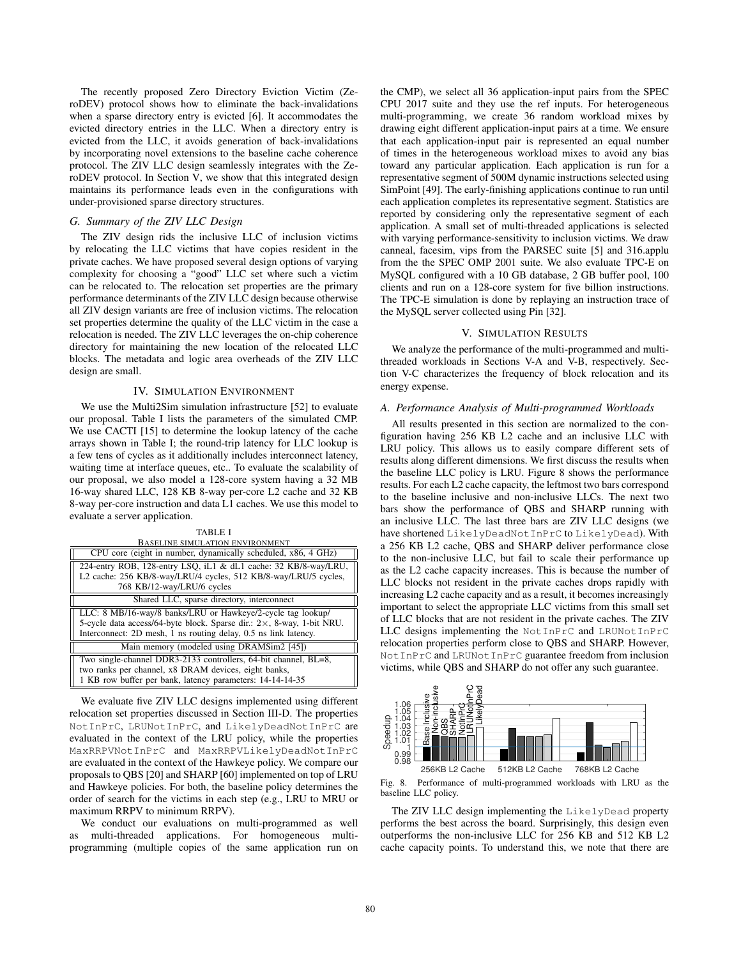The recently proposed Zero Directory Eviction Victim (ZeroDEV) protocol shows how to eliminate the back-invalidations when a sparse directory entry is evicted [6]. It accommodates the evicted directory entries in the LLC. When a directory entry is evicted from the LLC, it avoids generation of back-invalidations by incorporating novel extensions to the baseline cache coherence protocol. The ZIV LLC design seamlessly integrates with the ZeroDEV protocol. In Section V, we show that this integrated design maintains its performance leads even in the configurations with under-provisioned sparse directory structures.

# *G. Summary of the ZIV LLC Design*

The ZIV design rids the inclusive LLC of inclusion victims by relocating the LLC victims that have copies resident in the private caches. We have proposed several design options of varying complexity for choosing a "good" LLC set where such a victim can be relocated to. The relocation set properties are the primary performance determinants of the ZIV LLC design because otherwise all ZIV design variants are free of inclusion victims. The relocation set properties determine the quality of the LLC victim in the case a relocation is needed. The ZIV LLC leverages the on-chip coherence directory for maintaining the new location of the relocated LLC blocks. The metadata and logic area overheads of the ZIV LLC design are small.

# IV. SIMULATION ENVIRONMENT

We use the Multi2Sim simulation infrastructure [52] to evaluate our proposal. Table I lists the parameters of the simulated CMP. We use CACTI [15] to determine the lookup latency of the cache arrays shown in Table I; the round-trip latency for LLC lookup is a few tens of cycles as it additionally includes interconnect latency, waiting time at interface queues, etc.. To evaluate the scalability of our proposal, we also model a 128-core system having a 32 MB 16-way shared LLC, 128 KB 8-way per-core L2 cache and 32 KB 8-way per-core instruction and data L1 caches. We use this model to evaluate a server application.

| <b>TABLE I</b>                                                                                                                                                                                                   |
|------------------------------------------------------------------------------------------------------------------------------------------------------------------------------------------------------------------|
| BASELINE SIMULATION ENVIRONMENT                                                                                                                                                                                  |
| CPU core (eight in number, dynamically scheduled, x86, 4 GHz)                                                                                                                                                    |
| 224-entry ROB, 128-entry LSQ, iL1 & dL1 cache: 32 KB/8-way/LRU,<br>L2 cache: 256 KB/8-way/LRU/4 cycles, 512 KB/8-way/LRU/5 cycles,                                                                               |
| 768 KB/12-way/LRU/6 cycles                                                                                                                                                                                       |
| Shared LLC, sparse directory, interconnect                                                                                                                                                                       |
| LLC: 8 MB/16-way/8 banks/LRU or Hawkeye/2-cycle tag lookup/<br>5-cycle data access/64-byte block. Sparse dir.: $2 \times$ , 8-way, 1-bit NRU.<br>Interconnect: 2D mesh, 1 ns routing delay, 0.5 ns link latency. |
| Main memory (modeled using DRAMSim2 [45])                                                                                                                                                                        |
| Two single-channel DDR3-2133 controllers, 64-bit channel, BL=8,<br>two ranks per channel, x8 DRAM devices, eight banks,<br>1 KB row buffer per bank, latency parameters: 14-14-14-35                             |

We evaluate five ZIV LLC designs implemented using different relocation set properties discussed in Section III-D. The properties NotInPrC, LRUNotInPrC, and LikelyDeadNotInPrC are evaluated in the context of the LRU policy, while the properties MaxRRPVNotInPrC and MaxRRPVLikelyDeadNotInPrC are evaluated in the context of the Hawkeye policy. We compare our proposals to QBS [20] and SHARP [60] implemented on top of LRU and Hawkeye policies. For both, the baseline policy determines the order of search for the victims in each step (e.g., LRU to MRU or maximum RRPV to minimum RRPV).

We conduct our evaluations on multi-programmed as well as multi-threaded applications. For homogeneous multiprogramming (multiple copies of the same application run on the CMP), we select all 36 application-input pairs from the SPEC CPU 2017 suite and they use the ref inputs. For heterogeneous multi-programming, we create 36 random workload mixes by drawing eight different application-input pairs at a time. We ensure that each application-input pair is represented an equal number of times in the heterogeneous workload mixes to avoid any bias toward any particular application. Each application is run for a representative segment of 500M dynamic instructions selected using SimPoint [49]. The early-finishing applications continue to run until each application completes its representative segment. Statistics are reported by considering only the representative segment of each application. A small set of multi-threaded applications is selected with varying performance-sensitivity to inclusion victims. We draw canneal, facesim, vips from the PARSEC suite [5] and 316.applu from the the SPEC OMP 2001 suite. We also evaluate TPC-E on MySQL configured with a 10 GB database, 2 GB buffer pool, 100 clients and run on a 128-core system for five billion instructions. The TPC-E simulation is done by replaying an instruction trace of the MySQL server collected using Pin [32].

## V. SIMULATION RESULTS

We analyze the performance of the multi-programmed and multithreaded workloads in Sections V-A and V-B, respectively. Section V-C characterizes the frequency of block relocation and its energy expense.

#### *A. Performance Analysis of Multi-programmed Workloads*

All results presented in this section are normalized to the configuration having 256 KB L2 cache and an inclusive LLC with LRU policy. This allows us to easily compare different sets of results along different dimensions. We first discuss the results when the baseline LLC policy is LRU. Figure 8 shows the performance results. For each L2 cache capacity, the leftmost two bars correspond to the baseline inclusive and non-inclusive LLCs. The next two bars show the performance of QBS and SHARP running with an inclusive LLC. The last three bars are ZIV LLC designs (we have shortened LikelyDeadNotInPrC to LikelyDead). With a 256 KB L2 cache, QBS and SHARP deliver performance close to the non-inclusive LLC, but fail to scale their performance up as the L2 cache capacity increases. This is because the number of LLC blocks not resident in the private caches drops rapidly with increasing L2 cache capacity and as a result, it becomes increasingly important to select the appropriate LLC victims from this small set of LLC blocks that are not resident in the private caches. The ZIV LLC designs implementing the NotInPrC and LRUNotInPrC relocation properties perform close to QBS and SHARP. However, NotInPrC and LRUNotInPrC guarantee freedom from inclusion victims, while QBS and SHARP do not offer any such guarantee.



Fig. 8. Performance of multi-programmed workloads with LRU as the baseline LLC policy.

The ZIV LLC design implementing the LikelyDead property performs the best across the board. Surprisingly, this design even outperforms the non-inclusive LLC for 256 KB and 512 KB L2 cache capacity points. To understand this, we note that there are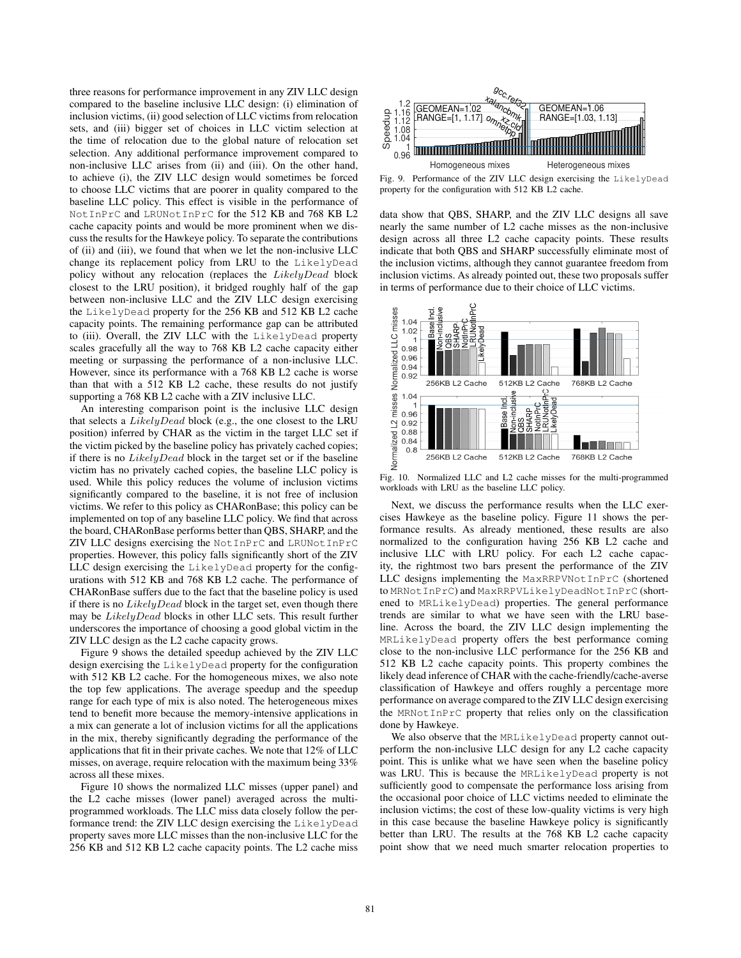three reasons for performance improvement in any ZIV LLC design compared to the baseline inclusive LLC design: (i) elimination of inclusion victims, (ii) good selection of LLC victims from relocation sets, and (iii) bigger set of choices in LLC victim selection at the time of relocation due to the global nature of relocation set selection. Any additional performance improvement compared to non-inclusive LLC arises from (ii) and (iii). On the other hand, to achieve (i), the ZIV LLC design would sometimes be forced to choose LLC victims that are poorer in quality compared to the baseline LLC policy. This effect is visible in the performance of NotInPrC and LRUNotInPrC for the 512 KB and 768 KB L2 cache capacity points and would be more prominent when we discuss the results for the Hawkeye policy. To separate the contributions of (ii) and (iii), we found that when we let the non-inclusive LLC change its replacement policy from LRU to the LikelyDead policy without any relocation (replaces the LikelyDead block closest to the LRU position), it bridged roughly half of the gap between non-inclusive LLC and the ZIV LLC design exercising the LikelyDead property for the 256 KB and 512 KB L2 cache capacity points. The remaining performance gap can be attributed to (iii). Overall, the ZIV LLC with the LikelyDead property scales gracefully all the way to 768 KB L2 cache capacity either meeting or surpassing the performance of a non-inclusive LLC. However, since its performance with a 768 KB L2 cache is worse than that with a 512 KB L2 cache, these results do not justify supporting a 768 KB L2 cache with a ZIV inclusive LLC.

An interesting comparison point is the inclusive LLC design that selects a LikelyDead block (e.g., the one closest to the LRU position) inferred by CHAR as the victim in the target LLC set if the victim picked by the baseline policy has privately cached copies; if there is no LikelyDead block in the target set or if the baseline victim has no privately cached copies, the baseline LLC policy is used. While this policy reduces the volume of inclusion victims significantly compared to the baseline, it is not free of inclusion victims. We refer to this policy as CHARonBase; this policy can be implemented on top of any baseline LLC policy. We find that across the board, CHARonBase performs better than QBS, SHARP, and the ZIV LLC designs exercising the NotInPrC and LRUNotInPrC properties. However, this policy falls significantly short of the ZIV LLC design exercising the LikelyDead property for the configurations with 512 KB and 768 KB L2 cache. The performance of CHARonBase suffers due to the fact that the baseline policy is used if there is no  $Likely Dead$  block in the target set, even though there may be LikelyDead blocks in other LLC sets. This result further underscores the importance of choosing a good global victim in the ZIV LLC design as the L2 cache capacity grows.

Figure 9 shows the detailed speedup achieved by the ZIV LLC design exercising the LikelyDead property for the configuration with 512 KB L2 cache. For the homogeneous mixes, we also note the top few applications. The average speedup and the speedup range for each type of mix is also noted. The heterogeneous mixes tend to benefit more because the memory-intensive applications in a mix can generate a lot of inclusion victims for all the applications in the mix, thereby significantly degrading the performance of the applications that fit in their private caches. We note that 12% of LLC misses, on average, require relocation with the maximum being 33% across all these mixes.

Figure 10 shows the normalized LLC misses (upper panel) and the L2 cache misses (lower panel) averaged across the multiprogrammed workloads. The LLC miss data closely follow the performance trend: the ZIV LLC design exercising the LikelyDead property saves more LLC misses than the non-inclusive LLC for the 256 KB and 512 KB L2 cache capacity points. The L2 cache miss



Fig. 9. Performance of the ZIV LLC design exercising the LikelyDead property for the configuration with 512 KB L2 cache.

data show that QBS, SHARP, and the ZIV LLC designs all save nearly the same number of L2 cache misses as the non-inclusive design across all three L2 cache capacity points. These results indicate that both QBS and SHARP successfully eliminate most of the inclusion victims, although they cannot guarantee freedom from inclusion victims. As already pointed out, these two proposals suffer in terms of performance due to their choice of LLC victims.



Fig. 10. Normalized LLC and L2 cache misses for the multi-programmed workloads with LRU as the baseline LLC policy.

Next, we discuss the performance results when the LLC exercises Hawkeye as the baseline policy. Figure 11 shows the performance results. As already mentioned, these results are also normalized to the configuration having 256 KB L2 cache and inclusive LLC with LRU policy. For each L2 cache capacity, the rightmost two bars present the performance of the ZIV LLC designs implementing the MaxRRPVNotInPrC (shortened to MRNotInPrC) and MaxRRPVLikelyDeadNotInPrC (shortened to MRLikelyDead) properties. The general performance trends are similar to what we have seen with the LRU baseline. Across the board, the ZIV LLC design implementing the MRLikelyDead property offers the best performance coming close to the non-inclusive LLC performance for the 256 KB and 512 KB L2 cache capacity points. This property combines the likely dead inference of CHAR with the cache-friendly/cache-averse classification of Hawkeye and offers roughly a percentage more performance on average compared to the ZIV LLC design exercising the MRNotInPrC property that relies only on the classification done by Hawkeye.

We also observe that the MRLikelyDead property cannot outperform the non-inclusive LLC design for any L2 cache capacity point. This is unlike what we have seen when the baseline policy was LRU. This is because the MRLikelyDead property is not sufficiently good to compensate the performance loss arising from the occasional poor choice of LLC victims needed to eliminate the inclusion victims; the cost of these low-quality victims is very high in this case because the baseline Hawkeye policy is significantly better than LRU. The results at the 768 KB L2 cache capacity point show that we need much smarter relocation properties to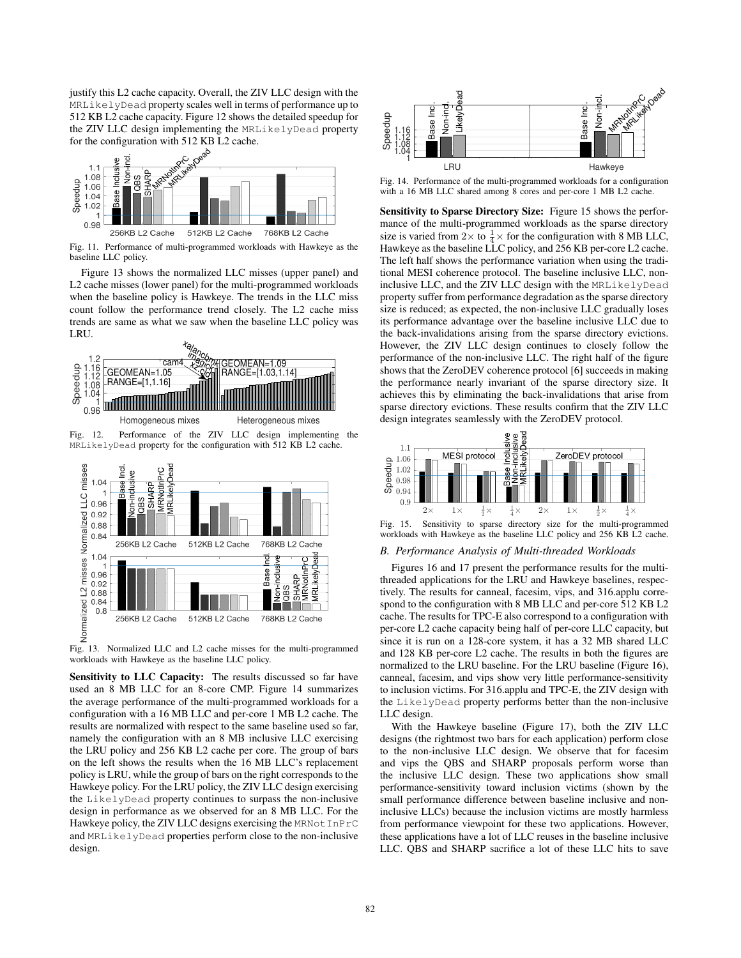justify this L2 cache capacity. Overall, the ZIV LLC design with the MRLikelyDead property scales well in terms of performance up to 512 KB L2 cache capacity. Figure 12 shows the detailed speedup for the ZIV LLC design implementing the MRLikelyDead property



Fig. 11. Performance of multi-programmed workloads with Hawkeye as the baseline LLC policy.

Figure 13 shows the normalized LLC misses (upper panel) and L2 cache misses (lower panel) for the multi-programmed workloads when the baseline policy is Hawkeye. The trends in the LLC miss count follow the performance trend closely. The L2 cache miss trends are same as what we saw when the baseline LLC policy was LRU.



MRLikelyDead property for the configuration with 512 KB L2 cache.



Fig. 13. Normalized LLC and L2 cache misses for the multi-programmed workloads with Hawkeye as the baseline LLC policy.

Sensitivity to LLC Capacity: The results discussed so far have used an 8 MB LLC for an 8-core CMP. Figure 14 summarizes the average performance of the multi-programmed workloads for a configuration with a 16 MB LLC and per-core 1 MB L2 cache. The results are normalized with respect to the same baseline used so far, namely the configuration with an 8 MB inclusive LLC exercising the LRU policy and 256 KB L2 cache per core. The group of bars on the left shows the results when the 16 MB LLC's replacement policy is LRU, while the group of bars on the right corresponds to the Hawkeye policy. For the LRU policy, the ZIV LLC design exercising the LikelyDead property continues to surpass the non-inclusive design in performance as we observed for an 8 MB LLC. For the Hawkeye policy, the ZIV LLC designs exercising the MRNot InPrC and MRLikelyDead properties perform close to the non-inclusive Note that the configuration of the configuration of the configuration of the configuration of the configuration of the configuration of the configuration of the configuration of the configuration of the configuration of t



Fig. 14. Performance of the multi-programmed workloads for a configuration with a 16 MB LLC shared among 8 cores and per-core 1 MB L2 cache.

Sensitivity to Sparse Directory Size: Figure 15 shows the performance of the multi-programmed workloads as the sparse directory size is varied from  $2 \times$  to  $\frac{1}{4} \times$  for the configuration with 8 MB LLC, Hawkeye as the baseline LLC policy, and 256 KB per-core L2 cache. The left half shows the performance variation when using the traditional MESI coherence protocol. The baseline inclusive LLC, noninclusive LLC, and the ZIV LLC design with the MRLikelyDead property suffer from performance degradation as the sparse directory size is reduced; as expected, the non-inclusive LLC gradually loses its performance advantage over the baseline inclusive LLC due to the back-invalidations arising from the sparse directory evictions. However, the ZIV LLC design continues to closely follow the performance of the non-inclusive LLC. The right half of the figure shows that the ZeroDEV coherence protocol [6] succeeds in making the performance nearly invariant of the sparse directory size. It achieves this by eliminating the back-invalidations that arise from sparse directory evictions. These results confirm that the ZIV LLC design integrates seamlessly with the ZeroDEV protocol.



Fig. 15. Sensitivity to sparse directory size for the multi-programmed workloads with Hawkeye as the baseline LLC policy and 256 KB L2 cache.

## *B. Performance Analysis of Multi-threaded Workloads*

Figures 16 and 17 present the performance results for the multithreaded applications for the LRU and Hawkeye baselines, respectively. The results for canneal, facesim, vips, and 316.applu correspond to the configuration with 8 MB LLC and per-core 512 KB L2 cache. The results for TPC-E also correspond to a configuration with per-core L2 cache capacity being half of per-core LLC capacity, but since it is run on a 128-core system, it has a 32 MB shared LLC and 128 KB per-core L2 cache. The results in both the figures are normalized to the LRU baseline. For the LRU baseline (Figure 16), canneal, facesim, and vips show very little performance-sensitivity to inclusion victims. For 316.applu and TPC-E, the ZIV design with the LikelyDead property performs better than the non-inclusive LLC design.

With the Hawkeye baseline (Figure 17), both the ZIV LLC designs (the rightmost two bars for each application) perform close to the non-inclusive LLC design. We observe that for facesim and vips the QBS and SHARP proposals perform worse than the inclusive LLC design. These two applications show small performance-sensitivity toward inclusion victims (shown by the small performance difference between baseline inclusive and noninclusive LLCs) because the inclusion victims are mostly harmless from performance viewpoint for these two applications. However, these applications have a lot of LLC reuses in the baseline inclusive LLC. QBS and SHARP sacrifice a lot of these LLC hits to save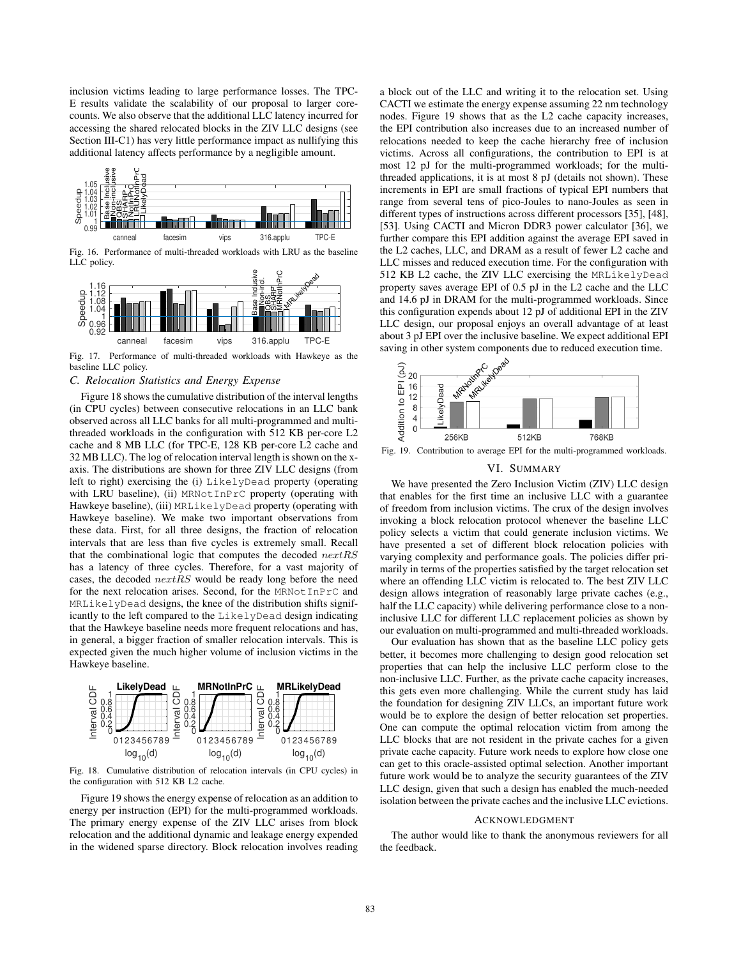inclusion victims leading to large performance losses. The TPC-E results validate the scalability of our proposal to larger corecounts. We also observe that the additional LLC latency incurred for accessing the shared relocated blocks in the ZIV LLC designs (see Section III-C1) has very little performance impact as nullifying this additional latency affects performance by a negligible amount.



Fig. 16. Performance of multi-threaded workloads with LRU as the baseline LLC policy.



Fig. 17. Performance of multi-threaded workloads with Hawkeye as the baseline LLC policy.

## *C. Relocation Statistics and Energy Expense*

Figure 18 shows the cumulative distribution of the interval lengths (in CPU cycles) between consecutive relocations in an LLC bank observed across all LLC banks for all multi-programmed and multithreaded workloads in the configuration with 512 KB per-core L2 cache and 8 MB LLC (for TPC-E, 128 KB per-core L2 cache and 32 MB LLC). The log of relocation interval length is shown on the xaxis. The distributions are shown for three ZIV LLC designs (from left to right) exercising the (i) LikelyDead property (operating with LRU baseline), (ii) MRNotInPrC property (operating with Hawkeye baseline), (iii) MRLikelyDead property (operating with Hawkeye baseline). We make two important observations from these data. First, for all three designs, the fraction of relocation intervals that are less than five cycles is extremely small. Recall that the combinational logic that computes the decoded  $nextRS$ has a latency of three cycles. Therefore, for a vast majority of cases, the decoded nextRS would be ready long before the need for the next relocation arises. Second, for the MRNotInPrC and MRLikelyDead designs, the knee of the distribution shifts significantly to the left compared to the LikelyDead design indicating that the Hawkeye baseline needs more frequent relocations and has, in general, a bigger fraction of smaller relocation intervals. This is expected given the much higher volume of inclusion victims in the Hawkeye baseline.



Fig. 18. Cumulative distribution of relocation intervals (in CPU cycles) in the configuration with 512 KB L2 cache.

Figure 19 shows the energy expense of relocation as an addition to energy per instruction (EPI) for the multi-programmed workloads. The primary energy expense of the ZIV LLC arises from block relocation and the additional dynamic and leakage energy expended in the widened sparse directory. Block relocation involves reading

a block out of the LLC and writing it to the relocation set. Using CACTI we estimate the energy expense assuming 22 nm technology nodes. Figure 19 shows that as the L2 cache capacity increases, the EPI contribution also increases due to an increased number of relocations needed to keep the cache hierarchy free of inclusion victims. Across all configurations, the contribution to EPI is at most 12 pJ for the multi-programmed workloads; for the multithreaded applications, it is at most 8 pJ (details not shown). These increments in EPI are small fractions of typical EPI numbers that range from several tens of pico-Joules to nano-Joules as seen in different types of instructions across different processors [35], [48], [53]. Using CACTI and Micron DDR3 power calculator [36], we further compare this EPI addition against the average EPI saved in the L2 caches, LLC, and DRAM as a result of fewer L2 cache and LLC misses and reduced execution time. For the configuration with 512 KB L2 cache, the ZIV LLC exercising the MRLikelyDead property saves average EPI of 0.5 pJ in the L2 cache and the LLC and 14.6 pJ in DRAM for the multi-programmed workloads. Since this configuration expends about 12 pJ of additional EPI in the ZIV LLC design, our proposal enjoys an overall advantage of at least about 3 pJ EPI over the inclusive baseline. We expect additional EPI



Fig. 19. Contribution to average EPI for the multi-programmed workloads.

#### VI. SUMMARY

We have presented the Zero Inclusion Victim (ZIV) LLC design that enables for the first time an inclusive LLC with a guarantee of freedom from inclusion victims. The crux of the design involves invoking a block relocation protocol whenever the baseline LLC policy selects a victim that could generate inclusion victims. We have presented a set of different block relocation policies with varying complexity and performance goals. The policies differ primarily in terms of the properties satisfied by the target relocation set where an offending LLC victim is relocated to. The best ZIV LLC design allows integration of reasonably large private caches (e.g., half the LLC capacity) while delivering performance close to a noninclusive LLC for different LLC replacement policies as shown by our evaluation on multi-programmed and multi-threaded workloads.

Our evaluation has shown that as the baseline LLC policy gets better, it becomes more challenging to design good relocation set properties that can help the inclusive LLC perform close to the non-inclusive LLC. Further, as the private cache capacity increases, this gets even more challenging. While the current study has laid the foundation for designing ZIV LLCs, an important future work would be to explore the design of better relocation set properties. One can compute the optimal relocation victim from among the LLC blocks that are not resident in the private caches for a given private cache capacity. Future work needs to explore how close one can get to this oracle-assisted optimal selection. Another important future work would be to analyze the security guarantees of the ZIV LLC design, given that such a design has enabled the much-needed isolation between the private caches and the inclusive LLC evictions.

#### ACKNOWLEDGMENT

The author would like to thank the anonymous reviewers for all the feedback.